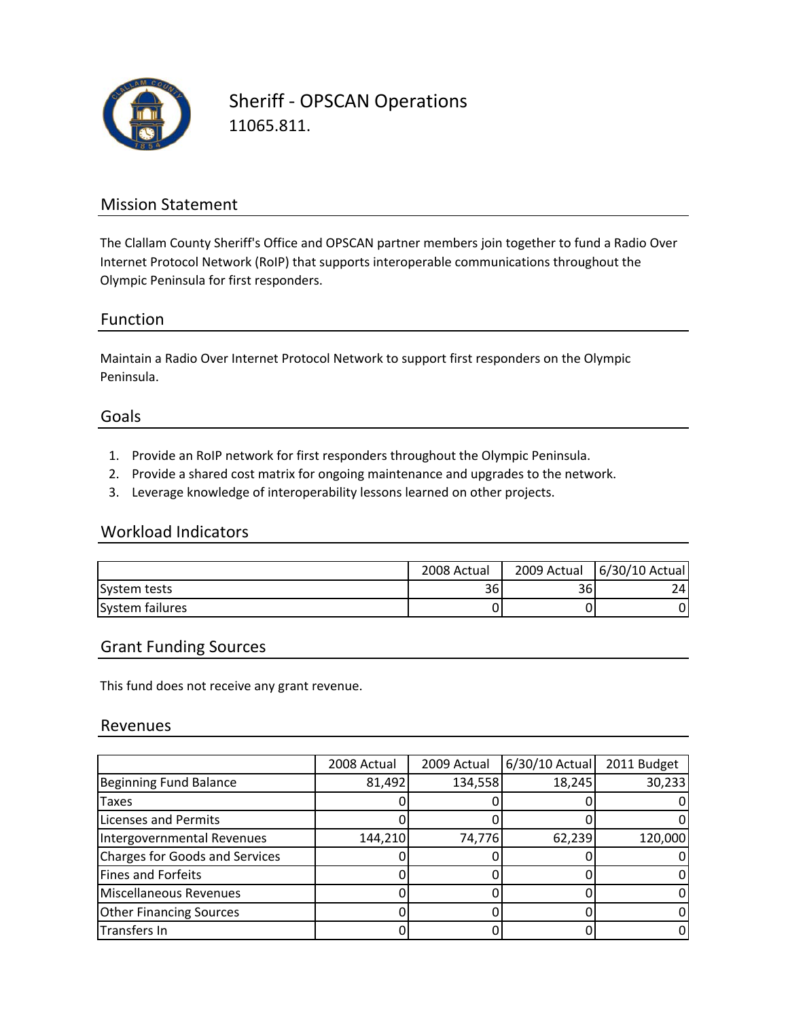

Sheriff ‐ OPSCAN Operations 11065.811.

## Mission Statement

The Clallam County Sheriff's Office and OPSCAN partner members join together to fund a Radio Over Internet Protocol Network (RoIP) that supports interoperable communications throughout the Olympic Peninsula for first responders.

### Function

Maintain a Radio Over Internet Protocol Network to support first responders on the Olympic Peninsula.

### Goals

- 1. Provide an RoIP network for first responders throughout the Olympic Peninsula.
- 2. Provide a shared cost matrix for ongoing maintenance and upgrades to the network.
- 3. Leverage knowledge of interoperability lessons learned on other projects.

#### Workload Indicators

|                 | 2008 Actual | 2009 Actual | 6/30/10 Actual |
|-----------------|-------------|-------------|----------------|
| System tests    | 36          | 361         | 74.            |
| System failures |             |             | 0              |

### Grant Funding Sources

This fund does not receive any grant revenue.

#### Revenues

|                                | 2008 Actual | 2009 Actual | 6/30/10 Actual 2011 Budget |         |
|--------------------------------|-------------|-------------|----------------------------|---------|
| Beginning Fund Balance         | 81,492      | 134,558     | 18,245                     | 30,233  |
| Taxes                          |             |             |                            | 0       |
| <b>Licenses and Permits</b>    |             |             |                            | 0       |
| Intergovernmental Revenues     | 144,210     | 74,776      | 62,239                     | 120,000 |
| Charges for Goods and Services |             |             |                            | 0       |
| Fines and Forfeits             |             |             |                            | 0       |
| Miscellaneous Revenues         |             |             |                            | 0       |
| <b>Other Financing Sources</b> |             |             |                            | 0       |
| Transfers In                   |             |             |                            | 0       |